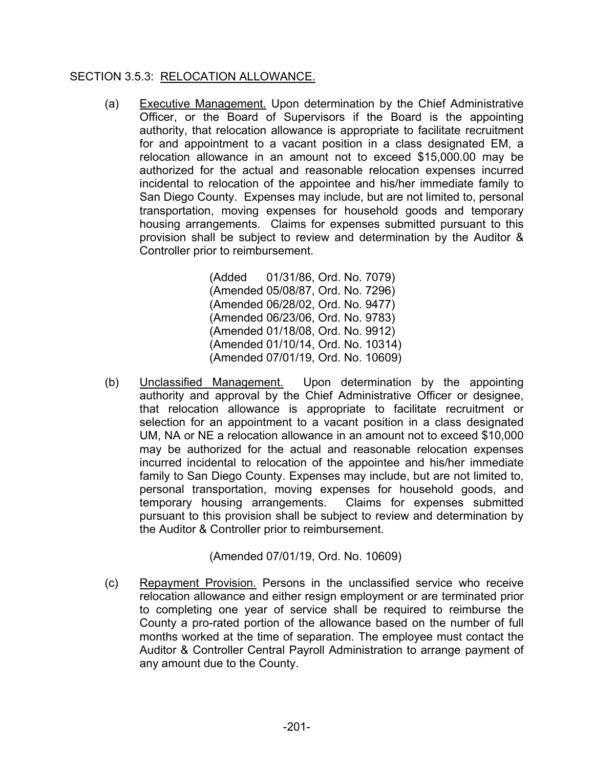## SECTION 3.5.3: RELOCATION ALLOWANCE.

(a) Executive Management. Upon determination by the Chief Administrative Officer, or the Board of Supervisors if the Board is the appointing authority, that relocation allowance is appropriate to facilitate recruitment for and appointment to a vacant position in a class designated EM, a relocation allowance in an amount not to exceed \$15,000.00 may be authorized for the actual and reasonable relocation expenses incurred incidental to relocation of the appointee and his/her immediate family to San Diego County. Expenses may include, but are not limited to, personal transportation, moving expenses for household goods and temporary housing arrangements. Claims for expenses submitted pursuant to this provision shall be subject to review and determination by the Auditor & Controller prior to reimbursement.

> (Added 01/31/86, Ord. No. 7079) (Amended 05/08/87, Ord. No. 7296) (Amended 06/28/02, Ord. No. 9477) (Amended 06/23/06, Ord. No. 9783) (Amended 01/18/08, Ord. No. 9912) (Amended 01/10/14, Ord. No. 10314) (Amended 07/01/19, Ord. No. 10609)

(b) Unclassified Management. Upon determination by the appointing authority and approval by the Chief Administrative Officer or designee, that relocation allowance is appropriate to facilitate recruitment or selection for an appointment to a vacant position in a class designated UM, NA or NE a relocation allowance in an amount not to exceed \$10,000 may be authorized for the actual and reasonable relocation expenses incurred incidental to relocation of the appointee and his/her immediate family to San Diego County. Expenses may include, but are not limited to, personal transportation, moving expenses for household goods, and temporary housing arrangements. Claims for expenses submitted pursuant to this provision shall be subject to review and determination by the Auditor & Controller prior to reimbursement.

(Amended 07/01/19, Ord. No. 10609)

(c) Repayment Provision. Persons in the unclassified service who receive relocation allowance and either resign employment or are terminated prior to completing one year of service shall be required to reimburse the County a pro-rated portion of the allowance based on the number of full months worked at the time of separation. The employee must contact the Auditor & Controller Central Payroll Administration to arrange payment of any amount due to the County.